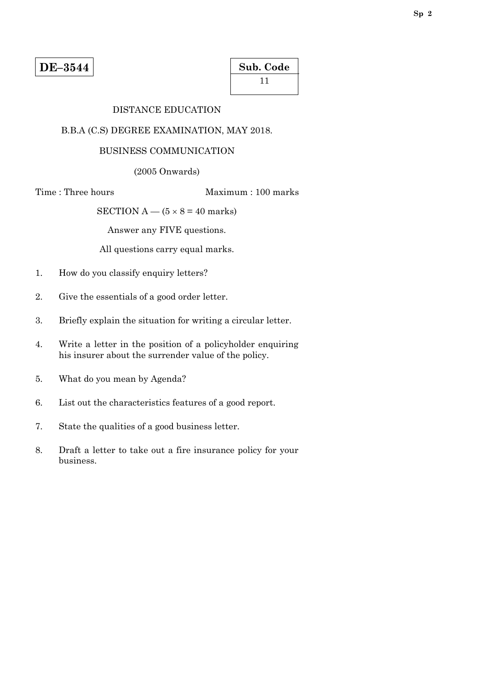| Sub. Code |  |
|-----------|--|
| -11       |  |

# DISTANCE EDUCATION

# B.B.A (C.S) DEGREE EXAMINATION, MAY 2018.

# BUSINESS COMMUNICATION

(2005 Onwards)

Time : Three hours Maximum : 100 marks

SECTION A —  $(5 \times 8 = 40$  marks)

Answer any FIVE questions.

All questions carry equal marks.

- 1. How do you classify enquiry letters?
- 2. Give the essentials of a good order letter.
- 3. Briefly explain the situation for writing a circular letter.
- 4. Write a letter in the position of a policyholder enquiring his insurer about the surrender value of the policy.
- 5. What do you mean by Agenda?
- 6. List out the characteristics features of a good report.
- 7. State the qualities of a good business letter.
- 8. Draft a letter to take out a fire insurance policy for your business.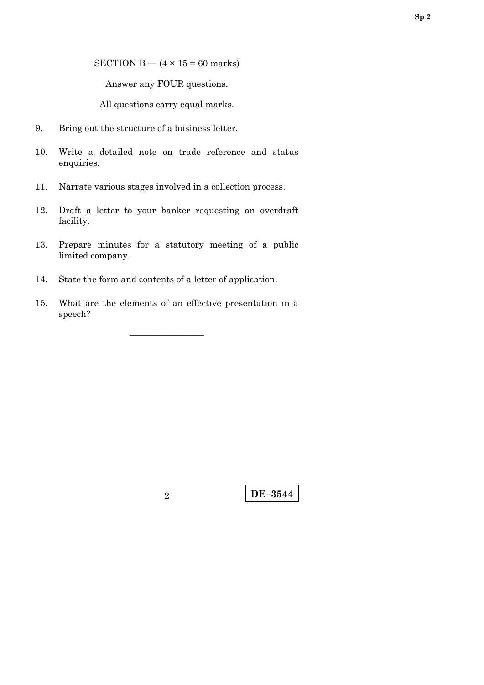SECTION B —  $(4 \times 15 = 60$  marks)

Answer any FOUR questions.

All questions carry equal marks.

- 9. Bring out the structure of a business letter.
- 10. Write a detailed note on trade reference and status enquiries.
- 11. Narrate various stages involved in a collection process.
- 12. Draft a letter to your banker requesting an overdraft facility.
- 13. Prepare minutes for a statutory meeting of a public limited company.
- 14. State the form and contents of a letter of application.
- 15. What are the elements of an effective presentation in a speech?

–––––––––––––––

**DE–3544** <sup>2</sup>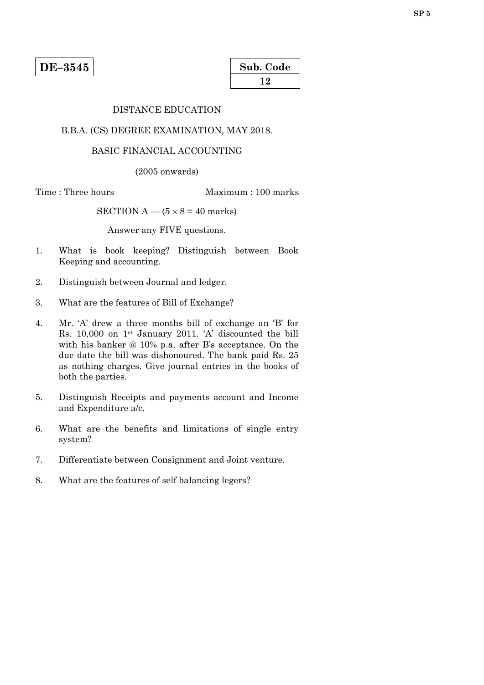| Sub. Code |  |
|-----------|--|
| 12        |  |

### DISTANCE EDUCATION

#### B.B.A. (CS) DEGREE EXAMINATION, MAY 2018.

#### BASIC FINANCIAL ACCOUNTING

(2005 onwards)

Time : Three hours Maximum : 100 marks

SECTION  $A - (5 \times 8 = 40$  marks)

Answer any FIVE questions.

- 1. What is book keeping? Distinguish between Book Keeping and accounting.
- 2. Distinguish between Journal and ledger.
- 3. What are the features of Bill of Exchange?
- 4. Mr. 'A' drew a three months bill of exchange an 'B' for Rs. 10,000 on 1st January 2011. 'A' discounted the bill with his banker @ 10% p.a. after B's acceptance. On the due date the bill was dishonoured. The bank paid Rs. 25 as nothing charges. Give journal entries in the books of both the parties.
- 5. Distinguish Receipts and payments account and Income and Expenditure a/c.
- 6. What are the benefits and limitations of single entry system?
- 7. Differentiate between Consignment and Joint venture.
- 8. What are the features of self balancing legers?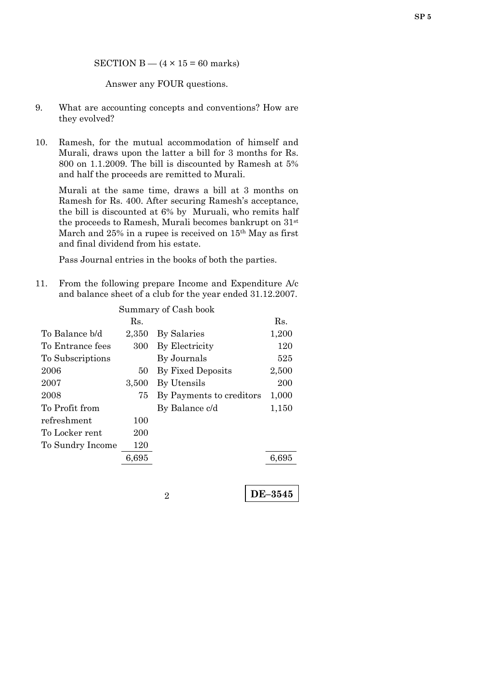SECTION B  $-$  (4  $\times$  15 = 60 marks)

Answer any FOUR questions.

- 9. What are accounting concepts and conventions? How are they evolved?
- 10. Ramesh, for the mutual accommodation of himself and Murali, draws upon the latter a bill for 3 months for Rs. 800 on 1.1.2009. The bill is discounted by Ramesh at 5% and half the proceeds are remitted to Murali.

Murali at the same time, draws a bill at 3 months on Ramesh for Rs. 400. After securing Ramesh's acceptance, the bill is discounted at 6% by Muruali, who remits half the proceeds to Ramesh, Murali becomes bankrupt on 31st March and 25% in a rupee is received on 15<sup>th</sup> May as first and final dividend from his estate.

Pass Journal entries in the books of both the parties.

11. From the following prepare Income and Expenditure A/c and balance sheet of a club for the year ended 31.12.2007.

|                  |       | Summary of Cash book     |       |
|------------------|-------|--------------------------|-------|
|                  | Rs.   |                          | Rs.   |
| To Balance b/d   | 2.350 | By Salaries              | 1,200 |
| To Entrance fees | 300   | By Electricity           | 120   |
| To Subscriptions |       | By Journals              | 525   |
| 2006             | 50    | By Fixed Deposits        | 2,500 |
| 2007             | 3,500 | By Utensils              | 200   |
| 2008             | 75    | By Payments to creditors | 1,000 |
| To Profit from   |       | By Balance c/d           | 1,150 |
| refreshment      | 100   |                          |       |
| To Locker rent   | 200   |                          |       |
| To Sundry Income | 120   |                          |       |
|                  | 6,695 |                          | 6,695 |
|                  |       |                          |       |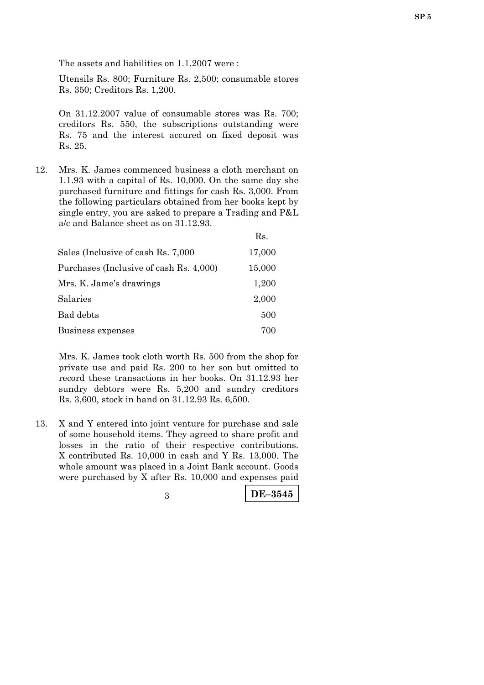The assets and liabilities on 1.1.2007 were :

 Utensils Rs. 800; Furniture Rs. 2,500; consumable stores Rs. 350; Creditors Rs. 1,200.

On 31.12.2007 value of consumable stores was Rs. 700; creditors Rs. 550, the subscriptions outstanding were Rs. 75 and the interest accured on fixed deposit was Rs. 25.

12. Mrs. K. James commenced business a cloth merchant on 1.1.93 with a capital of Rs. 10,000. On the same day she purchased furniture and fittings for cash Rs. 3,000. From the following particulars obtained from her books kept by single entry, you are asked to prepare a Trading and P&L a/c and Balance sheet as on 31.12.93.

|                                         | Rs.    |
|-----------------------------------------|--------|
| Sales (Inclusive of cash Rs. 7,000)     | 17,000 |
| Purchases (Inclusive of cash Rs. 4,000) | 15,000 |
| Mrs. K. Jame's drawings                 | 1,200  |
| Salaries                                | 2,000  |
| Bad debts                               | 500    |
| Business expenses                       | 700    |

 Mrs. K. James took cloth worth Rs. 500 from the shop for private use and paid Rs. 200 to her son but omitted to record these transactions in her books. On 31.12.93 her sundry debtors were Rs. 5,200 and sundry creditors Rs. 3,600, stock in hand on 31.12.93 Rs. 6,500.

13. X and Y entered into joint venture for purchase and sale of some household items. They agreed to share profit and losses in the ratio of their respective contributions. X contributed Rs. 10,000 in cash and Y Rs. 13,000. The whole amount was placed in a Joint Bank account. Goods were purchased by X after Rs. 10,000 and expenses paid

| $\vert$ DE-3545 |
|-----------------|
|                 |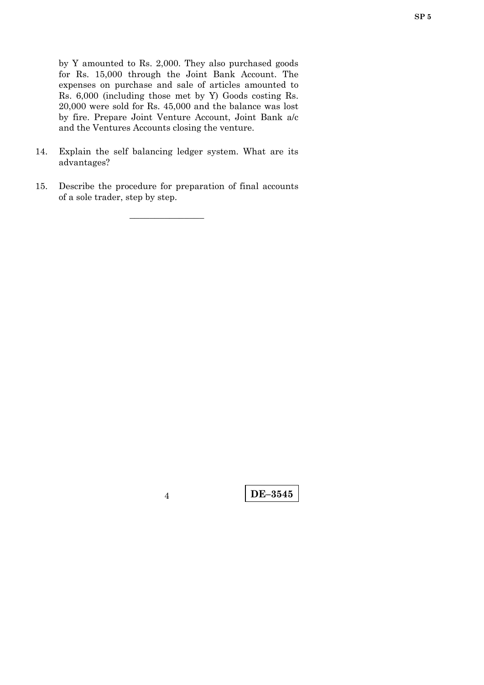by Y amounted to Rs. 2,000. They also purchased goods for Rs. 15,000 through the Joint Bank Account. The expenses on purchase and sale of articles amounted to Rs. 6,000 (including those met by Y) Goods costing Rs. 20,000 were sold for Rs. 45,000 and the balance was lost by fire. Prepare Joint Venture Account, Joint Bank a/c and the Ventures Accounts closing the venture.

- 14. Explain the self balancing ledger system. What are its advantages?
- 15. Describe the procedure for preparation of final accounts of a sole trader, step by step.

–––––––––––––––

**DE–3545** <sup>4</sup>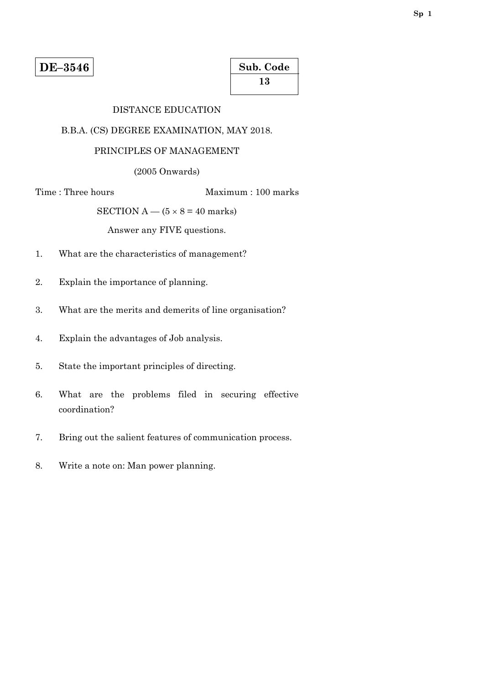| Sub. Code |  |
|-----------|--|
| 13        |  |

### DISTANCE EDUCATION

## B.B.A. (CS) DEGREE EXAMINATION, MAY 2018.

# PRINCIPLES OF MANAGEMENT

(2005 Onwards)

Time : Three hours Maximum : 100 marks

SECTION A —  $(5 \times 8 = 40$  marks)

Answer any FIVE questions.

- 1. What are the characteristics of management?
- 2. Explain the importance of planning.
- 3. What are the merits and demerits of line organisation?
- 4. Explain the advantages of Job analysis.
- 5. State the important principles of directing.
- 6. What are the problems filed in securing effective coordination?
- 7. Bring out the salient features of communication process.
- 8. Write a note on: Man power planning.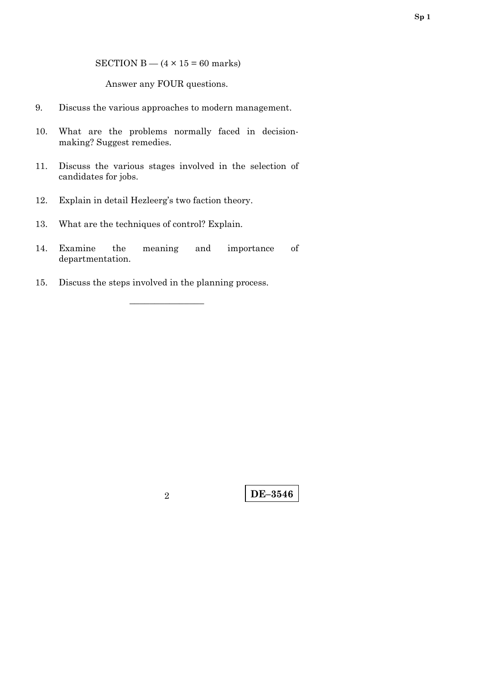SECTION B —  $(4 \times 15 = 60$  marks)

Answer any FOUR questions.

- 9. Discuss the various approaches to modern management.
- 10. What are the problems normally faced in decisionmaking? Suggest remedies.
- 11. Discuss the various stages involved in the selection of candidates for jobs.
- 12. Explain in detail Hezleerg's two faction theory.
- 13. What are the techniques of control? Explain.
- 14. Examine the meaning and importance of departmentation.

–––––––––––––––

15. Discuss the steps involved in the planning process.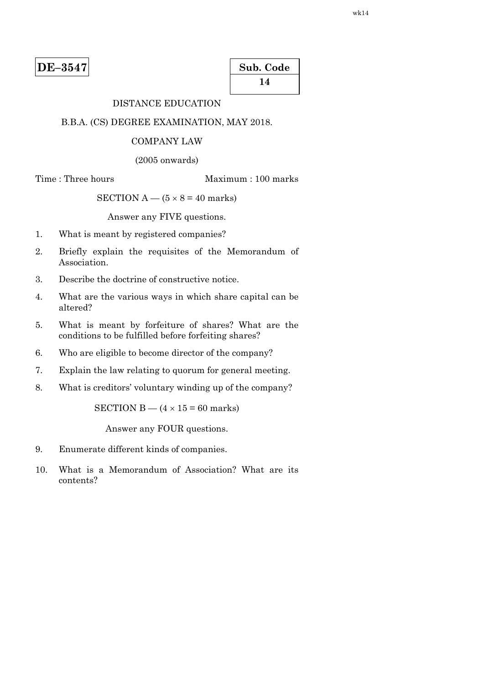| Sub. Code |  |
|-----------|--|
| 14        |  |

# DISTANCE EDUCATION

#### B.B.A. (CS) DEGREE EXAMINATION, MAY 2018.

#### COMPANY LAW

(2005 onwards)

#### Time : Three hours Maximum : 100 marks

SECTION  $A - (5 \times 8 = 40$  marks)

Answer any FIVE questions.

- 1. What is meant by registered companies?
- 2. Briefly explain the requisites of the Memorandum of Association.
- 3. Describe the doctrine of constructive notice.
- 4. What are the various ways in which share capital can be altered?
- 5. What is meant by forfeiture of shares? What are the conditions to be fulfilled before forfeiting shares?
- 6. Who are eligible to become director of the company?
- 7. Explain the law relating to quorum for general meeting.
- 8. What is creditors' voluntary winding up of the company?

SECTION B —  $(4 \times 15 = 60$  marks)

Answer any FOUR questions.

- 9. Enumerate different kinds of companies.
- 10. What is a Memorandum of Association? What are its contents?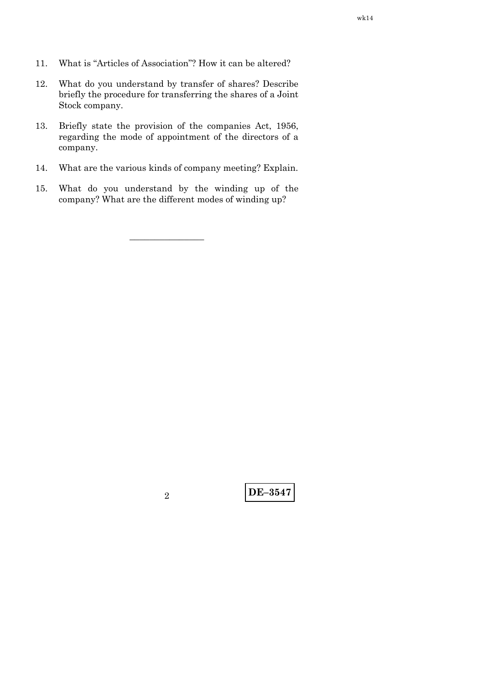- 11. What is "Articles of Association"? How it can be altered?
- 12. What do you understand by transfer of shares? Describe briefly the procedure for transferring the shares of a Joint Stock company.
- 13. Briefly state the provision of the companies Act, 1956, regarding the mode of appointment of the directors of a company.
- 14. What are the various kinds of company meeting? Explain.
- 15. What do you understand by the winding up of the company? What are the different modes of winding up?

–––––––––––––––

**DE–3547** <sup>2</sup>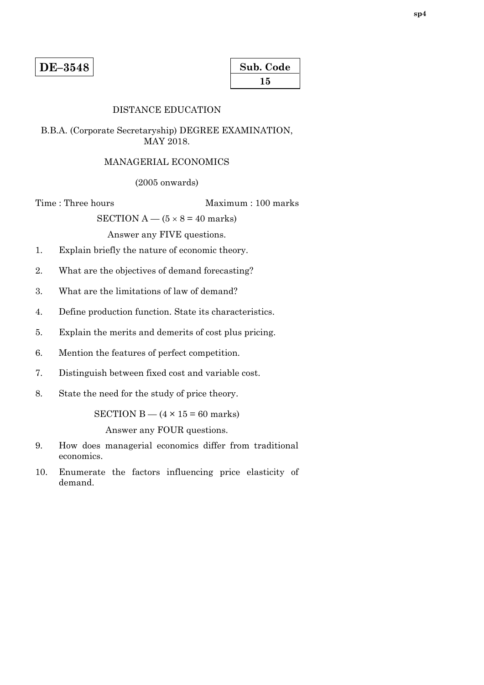| Sub. Code |  |
|-----------|--|
| 15        |  |

#### DISTANCE EDUCATION

### B.B.A. (Corporate Secretaryship) DEGREE EXAMINATION, MAY 2018.

#### MANAGERIAL ECONOMICS

(2005 onwards)

Time : Three hours Maximum : 100 marks

SECTION  $A - (5 \times 8 = 40$  marks)

Answer any FIVE questions.

- 1. Explain briefly the nature of economic theory.
- 2. What are the objectives of demand forecasting?
- 3. What are the limitations of law of demand?
- 4. Define production function. State its characteristics.
- 5. Explain the merits and demerits of cost plus pricing.
- 6. Mention the features of perfect competition.
- 7. Distinguish between fixed cost and variable cost.
- 8. State the need for the study of price theory.

SECTION  $B - (4 \times 15 = 60$  marks)

Answer any FOUR questions.

- 9. How does managerial economics differ from traditional economics.
- 10. Enumerate the factors influencing price elasticity of demand.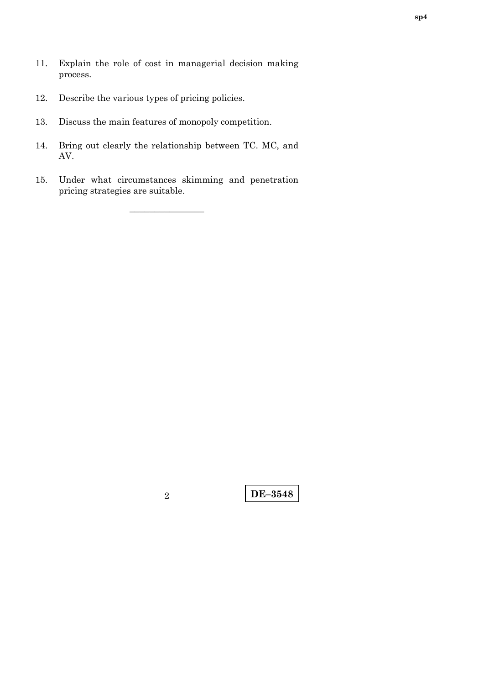- 11. Explain the role of cost in managerial decision making process.
- 12. Describe the various types of pricing policies.
- 13. Discuss the main features of monopoly competition.
- 14. Bring out clearly the relationship between TC. MC, and AV.
- 15. Under what circumstances skimming and penetration pricing strategies are suitable.

–––––––––––––––

**DE–3548** <sup>2</sup>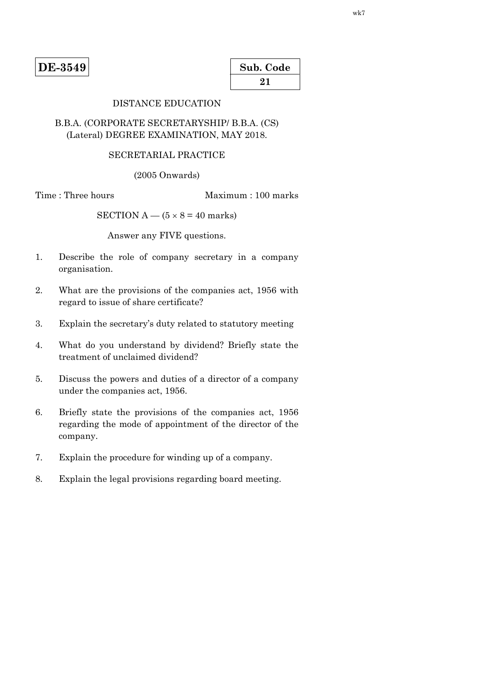**DE-3549** 

| Sub. Code |  |
|-----------|--|
| 21        |  |

# DISTANCE EDUCATION

# B.B.A. (CORPORATE SECRETARYSHIP/ B.B.A. (CS) (Lateral) DEGREE EXAMINATION, MAY 2018.

## SECRETARIAL PRACTICE

(2005 Onwards)

Time : Three hours Maximum : 100 marks

SECTION A —  $(5 \times 8 = 40$  marks)

Answer any FIVE questions.

- 1. Describe the role of company secretary in a company organisation.
- 2. What are the provisions of the companies act, 1956 with regard to issue of share certificate?
- 3. Explain the secretary's duty related to statutory meeting
- 4. What do you understand by dividend? Briefly state the treatment of unclaimed dividend?
- 5. Discuss the powers and duties of a director of a company under the companies act, 1956.
- 6. Briefly state the provisions of the companies act, 1956 regarding the mode of appointment of the director of the company.
- 7. Explain the procedure for winding up of a company.
- 8. Explain the legal provisions regarding board meeting.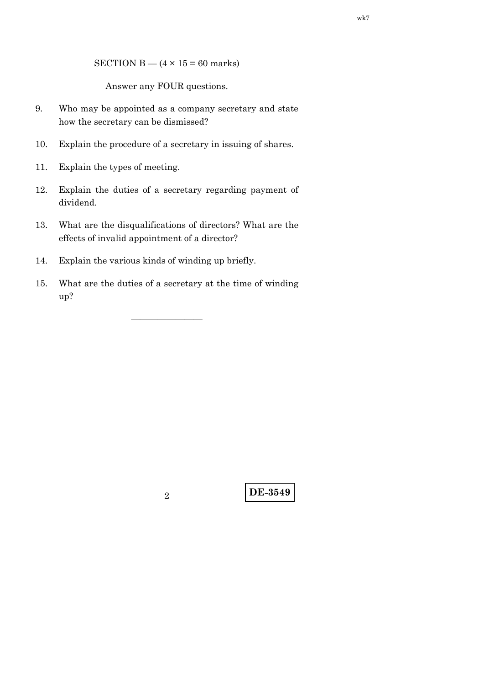SECTION B —  $(4 \times 15 = 60$  marks)

Answer any FOUR questions.

- 9. Who may be appointed as a company secretary and state how the secretary can be dismissed?
- 10. Explain the procedure of a secretary in issuing of shares.
- 11. Explain the types of meeting.
- 12. Explain the duties of a secretary regarding payment of dividend.
- 13. What are the disqualifications of directors? What are the effects of invalid appointment of a director?
- 14. Explain the various kinds of winding up briefly.
- 15. What are the duties of a secretary at the time of winding up?

————————

**DE-3549** <sup>2</sup>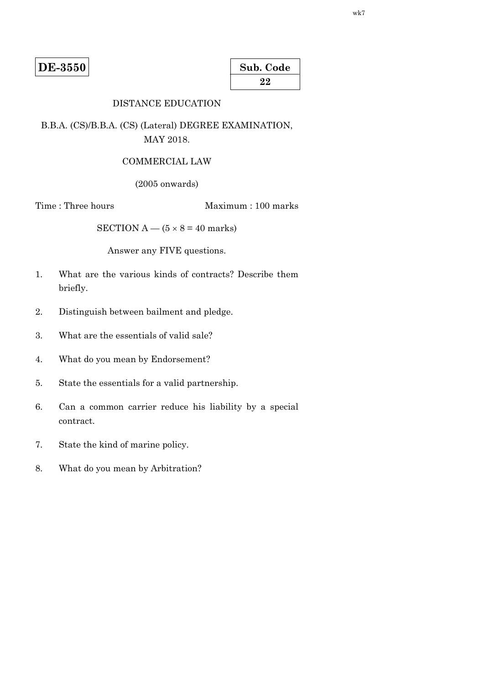**DE-3550** 

| Sub. Code |  |
|-----------|--|
| 22        |  |

# DISTANCE EDUCATION

B.B.A. (CS)/B.B.A. (CS) (Lateral) DEGREE EXAMINATION, MAY 2018.

#### COMMERCIAL LAW

(2005 onwards)

Time : Three hours Maximum : 100 marks

SECTION A —  $(5 \times 8 = 40$  marks)

Answer any FIVE questions.

- 1. What are the various kinds of contracts? Describe them briefly.
- 2. Distinguish between bailment and pledge.
- 3. What are the essentials of valid sale?
- 4. What do you mean by Endorsement?
- 5. State the essentials for a valid partnership.
- 6. Can a common carrier reduce his liability by a special contract.
- 7. State the kind of marine policy.
- 8. What do you mean by Arbitration?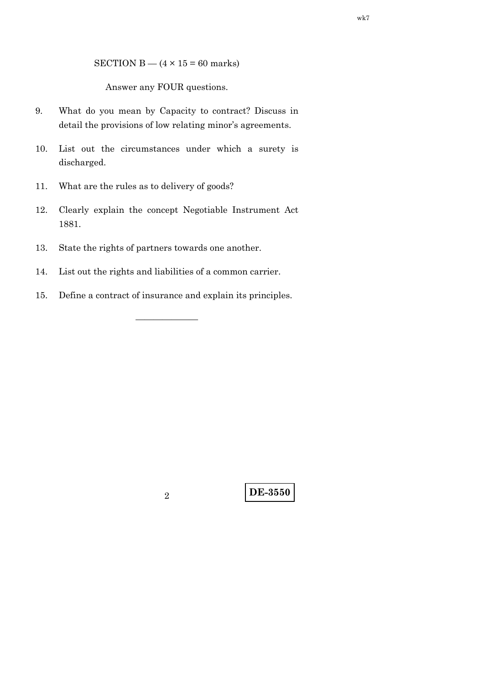SECTION B —  $(4 \times 15 = 60$  marks)

Answer any FOUR questions.

- 9. What do you mean by Capacity to contract? Discuss in detail the provisions of low relating minor's agreements.
- 10. List out the circumstances under which a surety is discharged.
- 11. What are the rules as to delivery of goods?
- 12. Clearly explain the concept Negotiable Instrument Act 1881.
- 13. State the rights of partners towards one another.
- 14. List out the rights and liabilities of a common carrier.
- 15. Define a contract of insurance and explain its principles.

———————

wk7

**DE-3550** <sup>2</sup>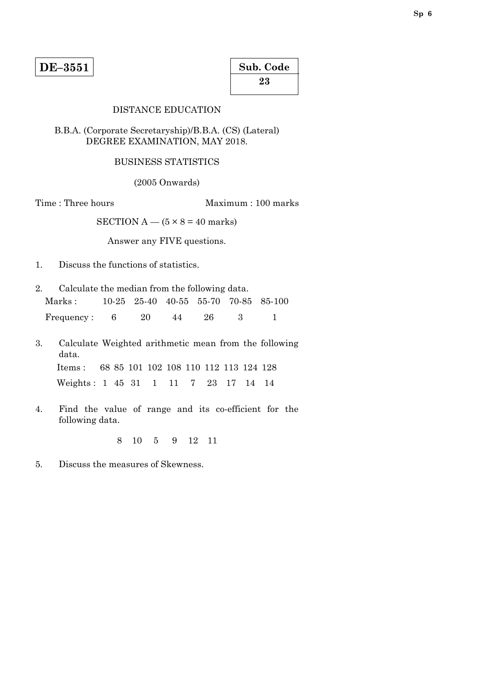| Sub. Code |  |
|-----------|--|
| 23        |  |

### DISTANCE EDUCATION

### B.B.A. (Corporate Secretaryship)/B.B.A. (CS) (Lateral) DEGREE EXAMINATION, MAY 2018.

# BUSINESS STATISTICS

(2005 Onwards)

Time : Three hours Maximum : 100 marks

SECTION  $A - (5 \times 8 = 40$  marks)

Answer any FIVE questions.

- 1. Discuss the functions of statistics.
- 2. Calculate the median from the following data. Marks : 10-25 25-40 40-55 55-70 70-85 85-100 Frequency: 6 20 44 26 3 1
- 3. Calculate Weighted arithmetic mean from the following data. Items : 68 85 101 102 108 110 112 113 124 128 Weights : 1 45 31 1 11 7 23 17 14 14
- 4. Find the value of range and its co-efficient for the following data.

8 10 5 9 12 11

5. Discuss the measures of Skewness.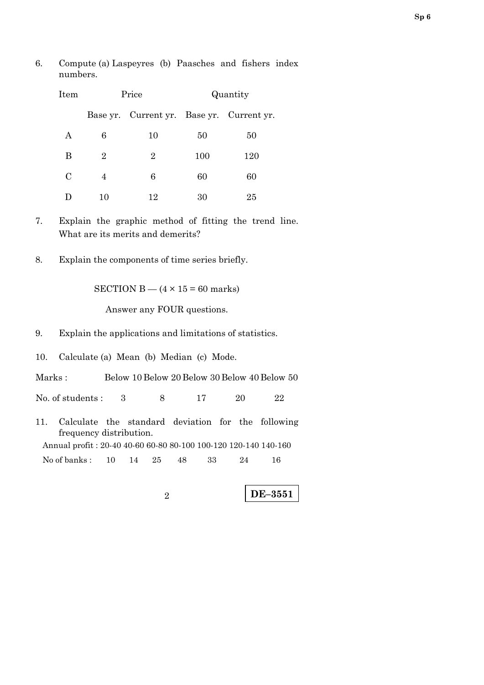6. Compute (a) Laspeyres (b) Paasches and fishers index numbers.

| Item    | Price          |                                           | Quantity |     |
|---------|----------------|-------------------------------------------|----------|-----|
|         |                | Base yr. Current yr. Base yr. Current yr. |          |     |
| A       | 6              | 10                                        | 50       | 50  |
| B       | $\overline{2}$ | 2                                         | 100      | 120 |
| $\rm C$ | 4              | 6                                         | 60       | 60  |
|         | 10             | 12                                        | 30       | 25  |

- 7. Explain the graphic method of fitting the trend line. What are its merits and demerits?
- 8. Explain the components of time series briefly.

SECTION  $B - (4 \times 15 = 60$  marks)

Answer any FOUR questions.

- 9. Explain the applications and limitations of statistics.
- 10. Calculate (a) Mean (b) Median (c) Mode.

Marks : Below 10 Below 20 Below 30 Below 40 Below 50

No. of students : 3 8 17 20 22

11. Calculate the standard deviation for the following frequency distribution. Annual profit : 20-40 40-60 60-80 80-100 100-120 120-140 140-160 No of banks: 10 14 25 48 33 24 16

**DE–3551**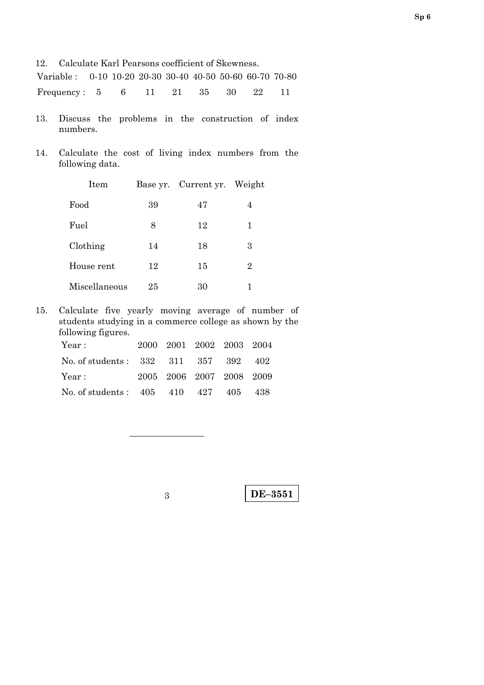12. Calculate Karl Pearsons coefficient of Skewness.

| Variable: 0-10 10-20 20-30 30-40 40-50 50-60 60-70 70-80 |  |  |  |  |
|----------------------------------------------------------|--|--|--|--|
| Frequency: 5 6 11 21 35 30 22 11                         |  |  |  |  |

- 13. Discuss the problems in the construction of index numbers.
- 14. Calculate the cost of living index numbers from the following data.

| Item          |    | Base yr. Current yr. Weight |   |
|---------------|----|-----------------------------|---|
| Food          | 39 | 47                          | 4 |
| Fuel          | 8  | 12                          | 1 |
| Clothing      | 14 | 18                          | 3 |
| House rent    | 12 | 15                          | 2 |
| Miscellaneous | 25 | 30                          |   |

15. Calculate five yearly moving average of number of students studying in a commerce college as shown by the following figures.

| Year :                               | 2000 2001 2002 2003 2004 |  |  |
|--------------------------------------|--------------------------|--|--|
| No. of students: 332 311 357 392 402 |                          |  |  |
| Year :                               | 2005 2006 2007 2008 2009 |  |  |
| No. of students: 405 410 427 405 438 |                          |  |  |

–––––––––––––––

**DE–3551** 3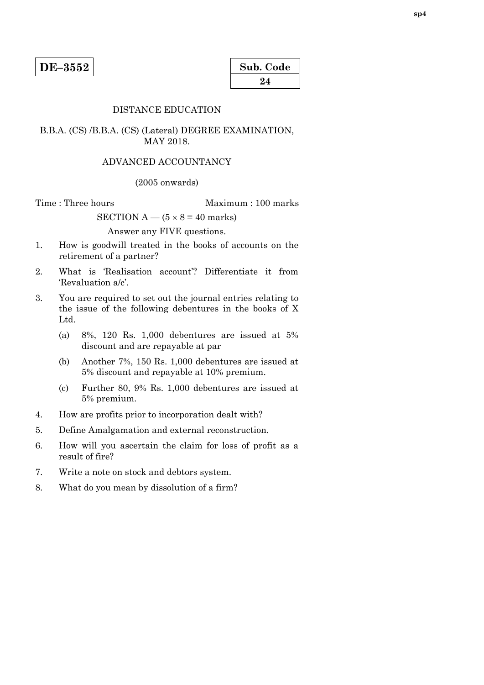| Sub. Code |  |
|-----------|--|
| 24        |  |

### DISTANCE EDUCATION

### B.B.A. (CS) /B.B.A. (CS) (Lateral) DEGREE EXAMINATION, MAY 2018.

#### ADVANCED ACCOUNTANCY

#### (2005 onwards)

Time : Three hours Maximum : 100 marks

SECTION  $A - (5 \times 8 = 40$  marks)

Answer any FIVE questions.

- 1. How is goodwill treated in the books of accounts on the retirement of a partner?
- 2. What is 'Realisation account'? Differentiate it from 'Revaluation a/c'.
- 3. You are required to set out the journal entries relating to the issue of the following debentures in the books of X Ltd.
	- (a) 8%, 120 Rs. 1,000 debentures are issued at 5% discount and are repayable at par
	- (b) Another 7%, 150 Rs. 1,000 debentures are issued at 5% discount and repayable at 10% premium.
	- (c) Further 80, 9% Rs. 1,000 debentures are issued at 5% premium.
- 4. How are profits prior to incorporation dealt with?
- 5. Define Amalgamation and external reconstruction.
- 6. How will you ascertain the claim for loss of profit as a result of fire?
- 7. Write a note on stock and debtors system.
- 8. What do you mean by dissolution of a firm?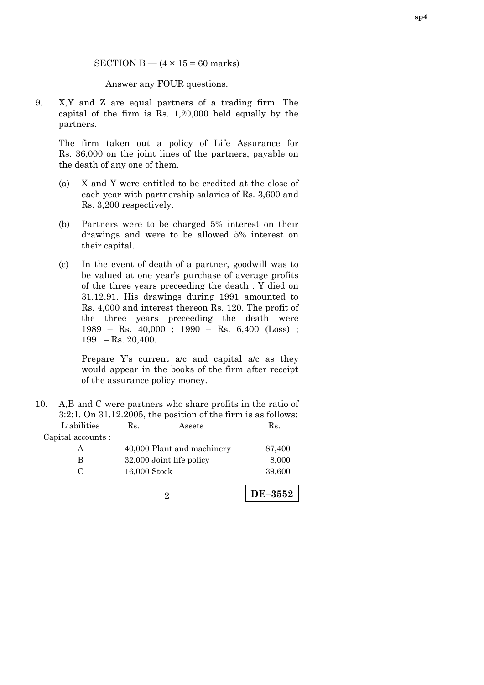SECTION  $B - (4 \times 15 = 60$  marks)

Answer any FOUR questions.

9. X,Y and Z are equal partners of a trading firm. The capital of the firm is Rs. 1,20,000 held equally by the partners.

 The firm taken out a policy of Life Assurance for Rs. 36,000 on the joint lines of the partners, payable on the death of any one of them.

- (a) X and Y were entitled to be credited at the close of each year with partnership salaries of Rs. 3,600 and Rs. 3,200 respectively.
- (b) Partners were to be charged 5% interest on their drawings and were to be allowed 5% interest on their capital.
- (c) In the event of death of a partner, goodwill was to be valued at one year's purchase of average profits of the three years preceeding the death . Y died on 31.12.91. His drawings during 1991 amounted to Rs. 4,000 and interest thereon Rs. 120. The profit of the three years preceeding the death were 1989 – Rs. 40,000 ; 1990 – Rs. 6,400 (Loss) ;  $1991 -$ Rs. 20,400.

Prepare Y's current a/c and capital a/c as they would appear in the books of the firm after receipt of the assurance policy money.

10. A,B and C were partners who share profits in the ratio of 3:2:1. On 31.12.2005, the position of the firm is as follows: Liabilities Rs. Assets Rs. Capital accounts :

| A   | 40,000 Plant and machinery | 87,400 |
|-----|----------------------------|--------|
| В   | 32,000 Joint life policy   | 8,000  |
| - 0 | $16,000$ Stock             | 39,600 |
|     |                            |        |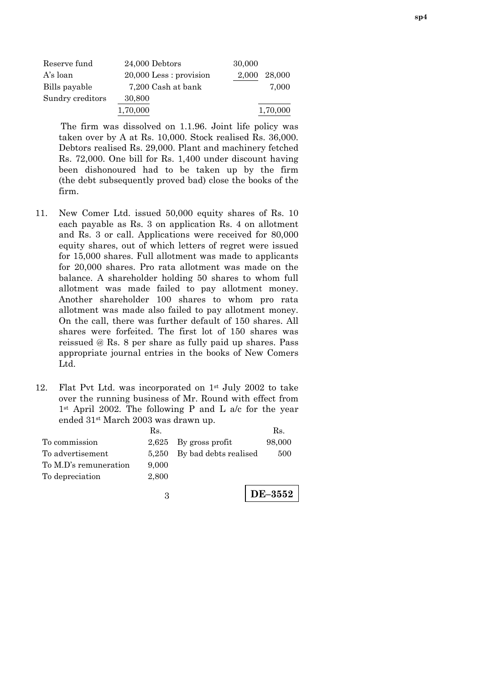| Reserve fund     | 24,000 Debtors            | 30,000          |
|------------------|---------------------------|-----------------|
| A's loan         | $20,000$ Less : provision | 28,000<br>2.000 |
| Bills payable    | 7,200 Cash at bank        | 7.000           |
| Sundry creditors | 30,800                    |                 |
|                  | 1,70,000                  | 1,70,000        |

The firm was dissolved on 1.1.96. Joint life policy was taken over by A at Rs. 10,000. Stock realised Rs. 36,000. Debtors realised Rs. 29,000. Plant and machinery fetched Rs. 72,000. One bill for Rs. 1,400 under discount having been dishonoured had to be taken up by the firm (the debt subsequently proved bad) close the books of the firm.

- 11. New Comer Ltd. issued 50,000 equity shares of Rs. 10 each payable as Rs. 3 on application Rs. 4 on allotment and Rs. 3 or call. Applications were received for 80,000 equity shares, out of which letters of regret were issued for 15,000 shares. Full allotment was made to applicants for 20,000 shares. Pro rata allotment was made on the balance. A shareholder holding 50 shares to whom full allotment was made failed to pay allotment money. Another shareholder 100 shares to whom pro rata allotment was made also failed to pay allotment money. On the call, there was further default of 150 shares. All shares were forfeited. The first lot of 150 shares was reissued @ Rs. 8 per share as fully paid up shares. Pass appropriate journal entries in the books of New Comers Ltd.
- 12. Flat Pvt Ltd. was incorporated on  $1<sup>st</sup>$  July 2002 to take over the running business of Mr. Round with effect from 1st April 2002. The following P and L a/c for the year ended 31st March 2003 was drawn up.

|                       | Rs.   |                             | Rs.    |
|-----------------------|-------|-----------------------------|--------|
| To commission         |       | $2,625$ By gross profit     | 98,000 |
| To advertisement      |       | 5,250 By bad debts realised | 500    |
| To M.D's remuneration | 9,000 |                             |        |
| To depreciation       | 2,800 |                             |        |
|                       |       |                             |        |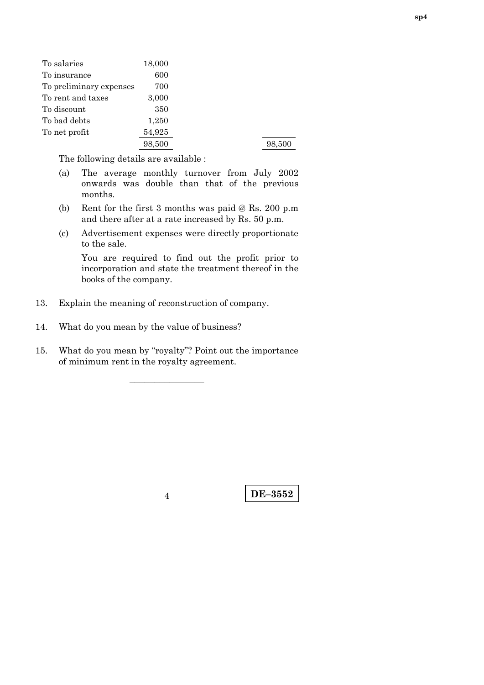| To salaries             | 18,000 |        |
|-------------------------|--------|--------|
| To insurance            | 600    |        |
| To preliminary expenses | 700    |        |
| To rent and taxes       | 3,000  |        |
| To discount             | 350    |        |
| To bad debts            | 1,250  |        |
| To net profit           | 54,925 |        |
|                         | 98,500 | 98,500 |

The following details are available :

- (a) The average monthly turnover from July 2002 onwards was double than that of the previous months.
- (b) Rent for the first 3 months was paid @ Rs. 200 p.m and there after at a rate increased by Rs. 50 p.m.
- (c) Advertisement expenses were directly proportionate to the sale.

You are required to find out the profit prior to incorporation and state the treatment thereof in the books of the company.

13. Explain the meaning of reconstruction of company.

14. What do you mean by the value of business?

15. What do you mean by "royalty"? Point out the importance of minimum rent in the royalty agreement.

–––––––––––––––

**DE–3552** <sup>4</sup>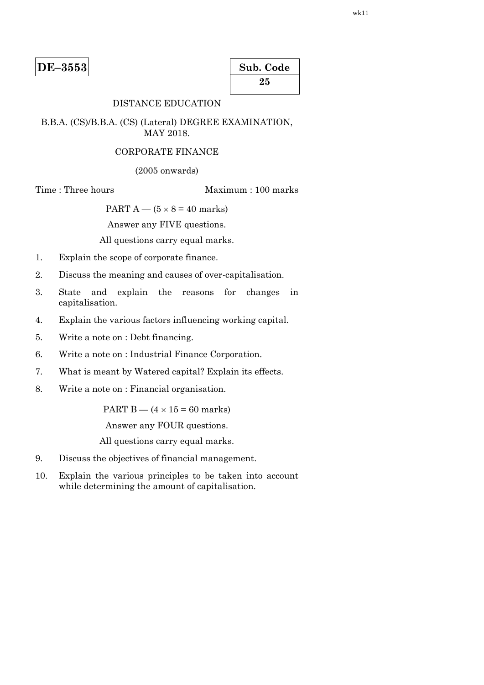| Sub. Code |  |
|-----------|--|
| 25        |  |

# DISTANCE EDUCATION

### B.B.A. (CS)/B.B.A. (CS) (Lateral) DEGREE EXAMINATION, MAY 2018.

### CORPORATE FINANCE

(2005 onwards)

Time : Three hours Maximum : 100 marks

PART  $A - (5 \times 8 = 40$  marks)

Answer any FIVE questions.

All questions carry equal marks.

- 1. Explain the scope of corporate finance.
- 2. Discuss the meaning and causes of over-capitalisation.
- 3. State and explain the reasons for changes in capitalisation.
- 4. Explain the various factors influencing working capital.
- 5. Write a note on : Debt financing.
- 6. Write a note on : Industrial Finance Corporation.
- 7. What is meant by Watered capital? Explain its effects.
- 8. Write a note on : Financial organisation.

PART B  $-$  (4  $\times$  15 = 60 marks)

Answer any FOUR questions.

All questions carry equal marks.

- 9. Discuss the objectives of financial management.
- 10. Explain the various principles to be taken into account while determining the amount of capitalisation.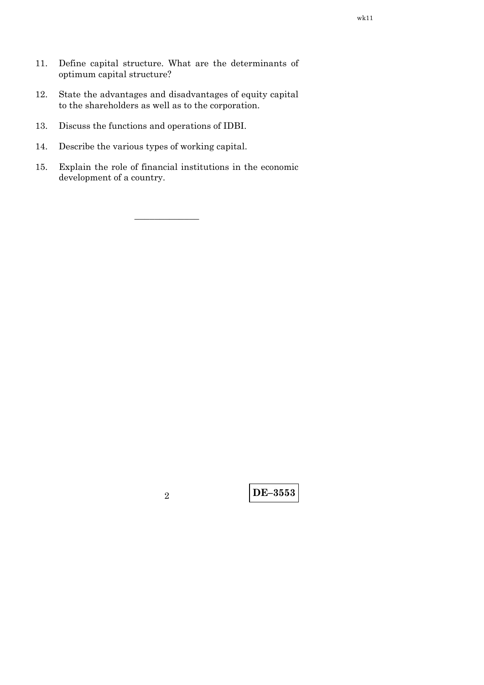- 11. Define capital structure. What are the determinants of optimum capital structure?
- 12. State the advantages and disadvantages of equity capital to the shareholders as well as to the corporation.
- 13. Discuss the functions and operations of IDBI.
- 14. Describe the various types of working capital.
- 15. Explain the role of financial institutions in the economic development of a country.

–––––––––––––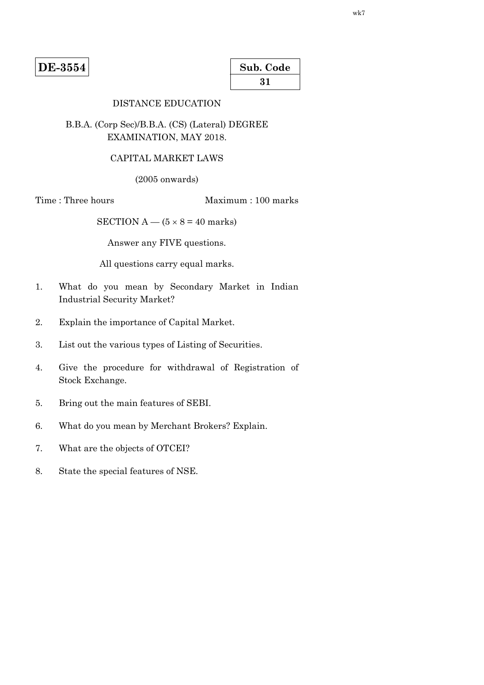**DE-3554** 

| Sub. Code |  |
|-----------|--|
| 31        |  |

# DISTANCE EDUCATION

# B.B.A. (Corp Sec)/B.B.A. (CS) (Lateral) DEGREE EXAMINATION, MAY 2018.

### CAPITAL MARKET LAWS

(2005 onwards)

Time : Three hours Maximum : 100 marks

SECTION  $A - (5 \times 8 = 40$  marks)

Answer any FIVE questions.

All questions carry equal marks.

- 1. What do you mean by Secondary Market in Indian Industrial Security Market?
- 2. Explain the importance of Capital Market.
- 3. List out the various types of Listing of Securities.
- 4. Give the procedure for withdrawal of Registration of Stock Exchange.
- 5. Bring out the main features of SEBI.
- 6. What do you mean by Merchant Brokers? Explain.
- 7. What are the objects of OTCEI?
- 8. State the special features of NSE.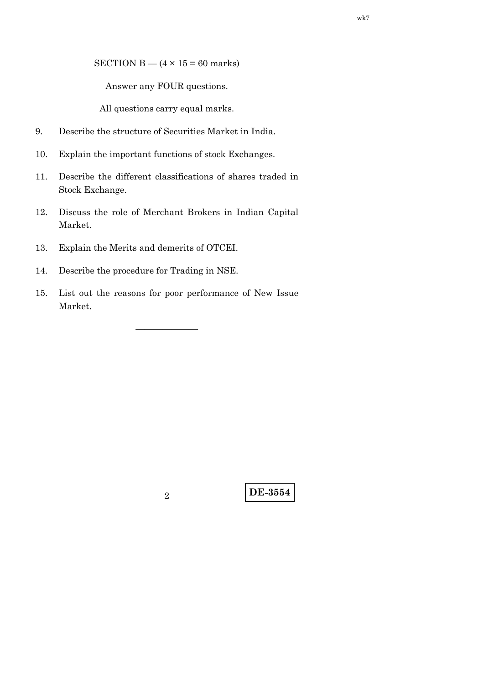SECTION B —  $(4 \times 15 = 60$  marks)

Answer any FOUR questions.

All questions carry equal marks.

- 9. Describe the structure of Securities Market in India.
- 10. Explain the important functions of stock Exchanges.
- 11. Describe the different classifications of shares traded in Stock Exchange.
- 12. Discuss the role of Merchant Brokers in Indian Capital Market.
- 13. Explain the Merits and demerits of OTCEI.
- 14. Describe the procedure for Trading in NSE.
- 15. List out the reasons for poor performance of New Issue Market.

———————

**DE-3554** <sup>2</sup>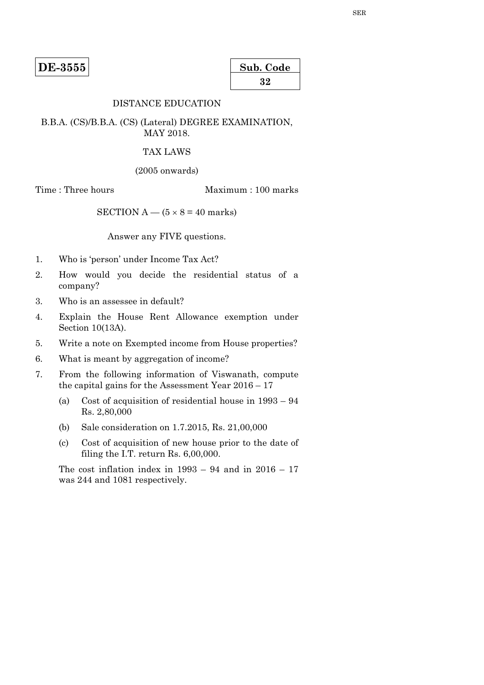**DE-3555** 

| Sub. Code |  |
|-----------|--|
| 32        |  |

# DISTANCE EDUCATION

B.B.A. (CS)/B.B.A. (CS) (Lateral) DEGREE EXAMINATION, MAY 2018.

#### TAX LAWS

(2005 onwards)

Time : Three hours Maximum : 100 marks

SECTION  $A - (5 \times 8 = 40$  marks)

Answer any FIVE questions.

- 1. Who is 'person' under Income Tax Act?
- 2. How would you decide the residential status of a company?
- 3. Who is an assessee in default?
- 4. Explain the House Rent Allowance exemption under Section 10(13A).
- 5. Write a note on Exempted income from House properties?
- 6. What is meant by aggregation of income?
- 7. From the following information of Viswanath, compute the capital gains for the Assessment Year 2016 – 17
	- (a) Cost of acquisition of residential house in 1993 94 Rs. 2,80,000
	- (b) Sale consideration on 1.7.2015, Rs. 21,00,000
	- (c) Cost of acquisition of new house prior to the date of filing the I.T. return Rs. 6,00,000.

The cost inflation index in  $1993 - 94$  and in  $2016 - 17$ was 244 and 1081 respectively.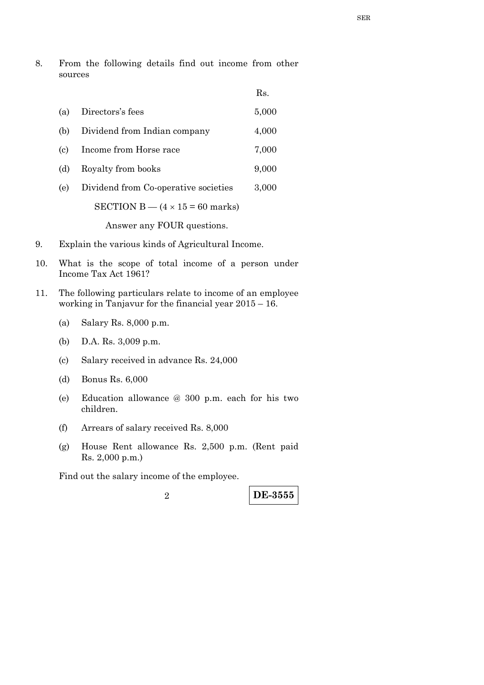8. From the following details find out income from other sources

|     |                                          | Rs.   |
|-----|------------------------------------------|-------|
| (a) | Directors's fees                         | 5,000 |
| (b) | Dividend from Indian company             | 4,000 |
| (c) | Income from Horse race                   | 7,000 |
| (d) | Royalty from books                       | 9,000 |
| (e) | Dividend from Co-operative societies     | 3,000 |
|     | SECTION B $-$ (4 $\times$ 15 = 60 marks) |       |

Answer any FOUR questions.

- 9. Explain the various kinds of Agricultural Income.
- 10. What is the scope of total income of a person under Income Tax Act 1961?
- 11. The following particulars relate to income of an employee working in Tanjavur for the financial year 2015 – 16.
	- (a) Salary Rs. 8,000 p.m.
	- (b) D.A. Rs. 3,009 p.m.
	- (c) Salary received in advance Rs. 24,000
	- (d) Bonus Rs. 6,000
	- (e) Education allowance @ 300 p.m. each for his two children.
	- (f) Arrears of salary received Rs. 8,000
	- (g) House Rent allowance Rs. 2,500 p.m. (Rent paid Rs. 2,000 p.m.)

Find out the salary income of the employee.

**DE-3555** <sup>2</sup>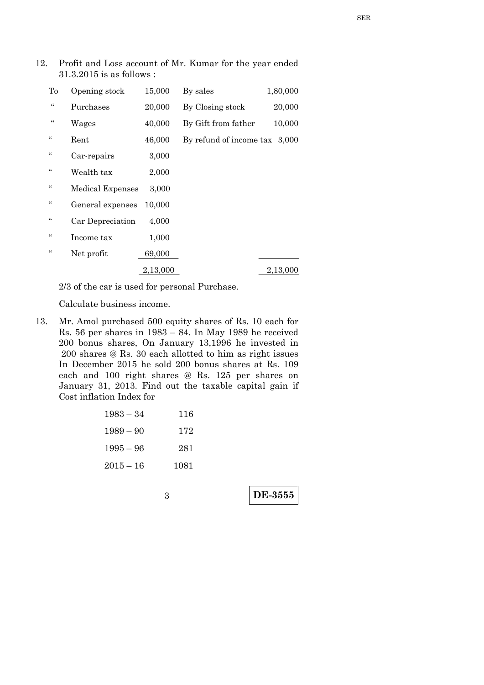| To             | Opening stock           | 15,000   | By sales                      | 1,80,000 |
|----------------|-------------------------|----------|-------------------------------|----------|
| $\zeta\,\zeta$ | Purchases               | 20,000   | By Closing stock              | 20,000   |
| $\zeta\,\zeta$ | Wages                   | 40,000   | By Gift from father           | 10,000   |
| $\zeta\,\zeta$ | Rent                    | 46,000   | By refund of income tax 3,000 |          |
| $\zeta\,\zeta$ | Car-repairs             | 3,000    |                               |          |
| $\zeta\zeta$   | Wealth tax              | 2,000    |                               |          |
| $\zeta\,\zeta$ | <b>Medical Expenses</b> | 3,000    |                               |          |
| $\zeta\,\zeta$ | General expenses        | 10,000   |                               |          |
| $\zeta\zeta$   | Car Depreciation        | 4,000    |                               |          |
| "              | Income tax              | 1,000    |                               |          |
| $\epsilon$     | Net profit              | 69,000   |                               |          |
|                |                         | 2,13,000 |                               | 2,13,000 |

12. Profit and Loss account of Mr. Kumar for the year ended

2/3 of the car is used for personal Purchase.

Calculate business income.

31.3.2015 is as follows :

13. Mr. Amol purchased 500 equity shares of Rs. 10 each for Rs. 56 per shares in 1983 – 84. In May 1989 he received 200 bonus shares, On January 13,1996 he invested in 200 shares @ Rs. 30 each allotted to him as right issues In December 2015 he sold 200 bonus shares at Rs. 109 each and 100 right shares @ Rs. 125 per shares on January 31, 2013. Find out the taxable capital gain if Cost inflation Index for

| 116  | $1983 - 34$ |
|------|-------------|
| 172  | $1989 - 90$ |
| 281  | $1995 - 96$ |
| 1081 | $2015 - 16$ |

**DE-3555**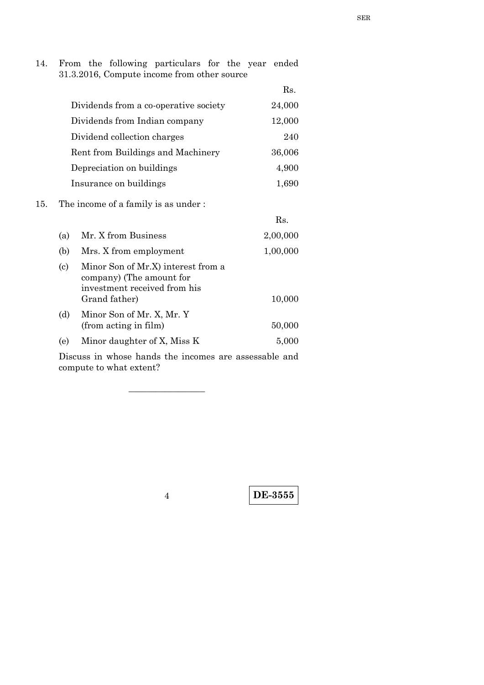14. From the following particulars for the year ended 31.3.2016, Compute income from other source

|                                       | Rs.    |
|---------------------------------------|--------|
| Dividends from a co-operative society | 24,000 |
| Dividends from Indian company         | 12,000 |
| Dividend collection charges           | 240    |
| Rent from Buildings and Machinery     | 36,006 |
| Depreciation on buildings             | 4,900  |
| Insurance on buildings                | 1,690  |

### 15. The income of a family is as under :

|                            |                                                                                                                 | Rs.      |
|----------------------------|-----------------------------------------------------------------------------------------------------------------|----------|
| (a)                        | Mr. X from Business                                                                                             | 2,00,000 |
| (b)                        | Mrs. X from employment                                                                                          | 1,00,000 |
| $\left( \mathrm{c}\right)$ | Minor Son of Mr.X) interest from a<br>company) (The amount for<br>investment received from his<br>Grand father) | 10,000   |
| (d)                        | Minor Son of Mr. X, Mr. Y<br>(from acting in film)                                                              | 50,000   |
| (e)                        | Minor daughter of X, Miss K                                                                                     | 5,000    |
|                            | Discover is solved leads the incomed and concentrate and                                                        |          |

 Discuss in whose hands the incomes are assessable and compute to what extent?

\_\_\_\_\_\_\_\_\_\_\_\_\_\_\_\_\_

**DE-3555** <sup>4</sup>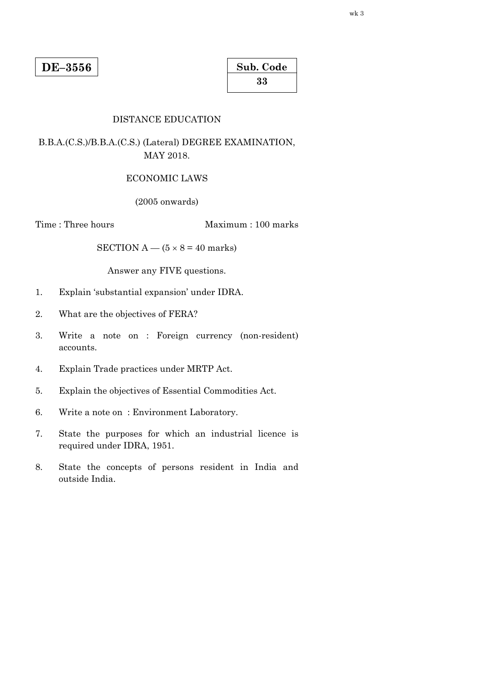| Sub. Code |  |  |  |
|-----------|--|--|--|
| 33        |  |  |  |

### DISTANCE EDUCATION

B.B.A.(C.S.)/B.B.A.(C.S.) (Lateral) DEGREE EXAMINATION, MAY 2018.

#### ECONOMIC LAWS

(2005 onwards)

Time : Three hours Maximum : 100 marks

SECTION  $A - (5 \times 8 = 40$  marks)

Answer any FIVE questions.

- 1. Explain 'substantial expansion' under IDRA.
- 2. What are the objectives of FERA?
- 3. Write a note on : Foreign currency (non-resident) accounts.
- 4. Explain Trade practices under MRTP Act.
- 5. Explain the objectives of Essential Commodities Act.
- 6. Write a note on : Environment Laboratory.
- 7. State the purposes for which an industrial licence is required under IDRA, 1951.
- 8. State the concepts of persons resident in India and outside India.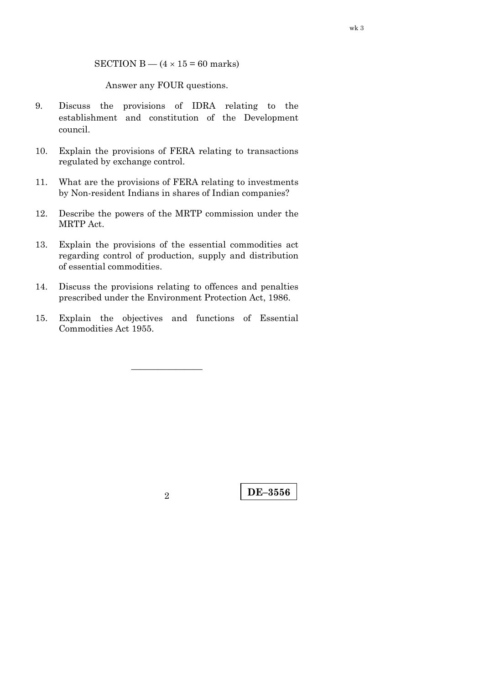SECTION B —  $(4 \times 15 = 60$  marks)

Answer any FOUR questions.

- 9. Discuss the provisions of IDRA relating to the establishment and constitution of the Development council.
- 10. Explain the provisions of FERA relating to transactions regulated by exchange control.
- 11. What are the provisions of FERA relating to investments by Non-resident Indians in shares of Indian companies?
- 12. Describe the powers of the MRTP commission under the MRTP Act.
- 13. Explain the provisions of the essential commodities act regarding control of production, supply and distribution of essential commodities.
- 14. Discuss the provisions relating to offences and penalties prescribed under the Environment Protection Act, 1986.
- 15. Explain the objectives and functions of Essential Commodities Act 1955.

————————

**DE–3556** <sup>2</sup>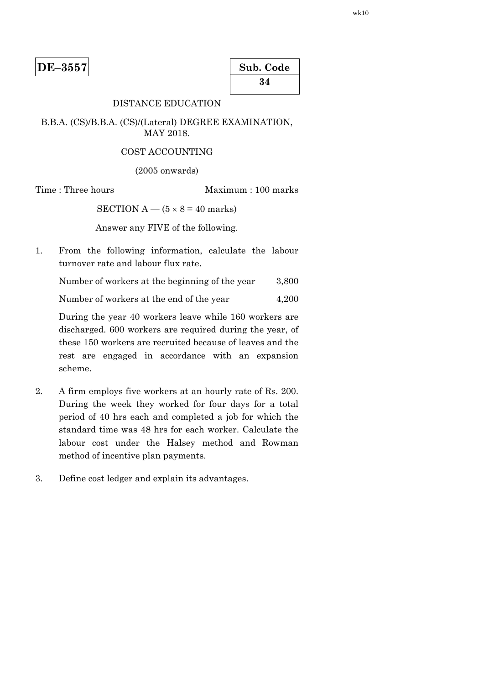| Sub. Code |  |  |  |
|-----------|--|--|--|
| 34        |  |  |  |

# DISTANCE EDUCATION

#### B.B.A. (CS)/B.B.A. (CS)/(Lateral) DEGREE EXAMINATION, MAY 2018.

#### COST ACCOUNTING

(2005 onwards)

Time : Three hours Maximum : 100 marks

SECTION  $A - (5 \times 8 = 40$  marks)

Answer any FIVE of the following.

1. From the following information, calculate the labour turnover rate and labour flux rate.

Number of workers at the beginning of the year 3,800

Number of workers at the end of the year 4,200

 During the year 40 workers leave while 160 workers are discharged. 600 workers are required during the year, of these 150 workers are recruited because of leaves and the rest are engaged in accordance with an expansion scheme.

- 2. A firm employs five workers at an hourly rate of Rs. 200. During the week they worked for four days for a total period of 40 hrs each and completed a job for which the standard time was 48 hrs for each worker. Calculate the labour cost under the Halsey method and Rowman method of incentive plan payments.
- 3. Define cost ledger and explain its advantages.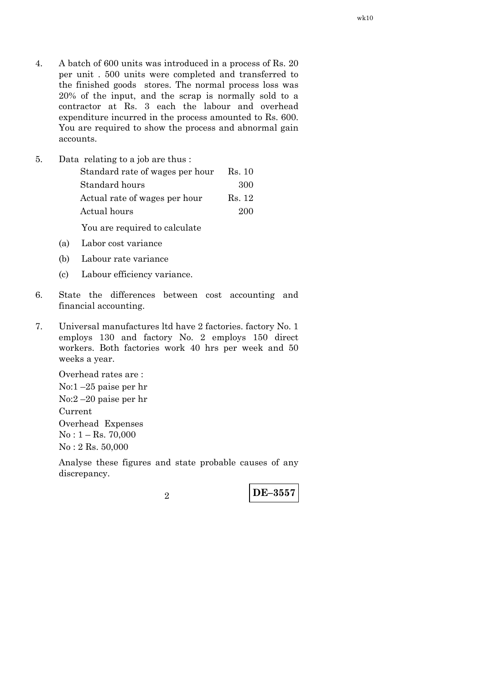4. A batch of 600 units was introduced in a process of Rs. 20 per unit . 500 units were completed and transferred to the finished goods stores. The normal process loss was 20% of the input, and the scrap is normally sold to a contractor at Rs. 3 each the labour and overhead expenditure incurred in the process amounted to Rs. 600. You are required to show the process and abnormal gain accounts.

| 5. | Data relating to a job are thus: |        |
|----|----------------------------------|--------|
|    | Standard rate of wages per hour  | Rs. 10 |
|    | Standard hours                   | 300    |
|    | Actual rate of wages per hour    | Rs. 12 |
|    | Actual hours                     | 200    |
|    |                                  |        |

You are required to calculate

- (a) Labor cost variance
- (b) Labour rate variance
- (c) Labour efficiency variance.
- 6. State the differences between cost accounting and financial accounting.
- 7. Universal manufactures ltd have 2 factories. factory No. 1 employs 130 and factory No. 2 employs 150 direct workers. Both factories work 40 hrs per week and 50 weeks a year.

 Overhead rates are : No:1 –25 paise per hr No:2 –20 paise per hr Current Overhead Expenses  $No: 1 - Rs. 70,000$ No : 2 Rs. 50,000

 Analyse these figures and state probable causes of any discrepancy.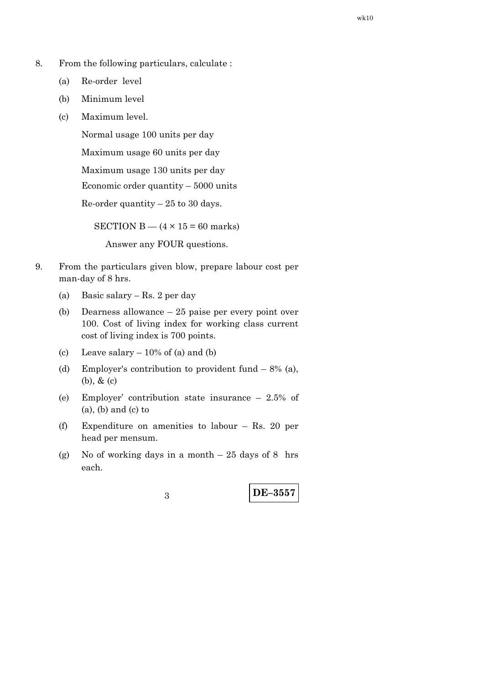- 8. From the following particulars, calculate :
	- (a) Re-order level
	- (b) Minimum level
	- (c) Maximum level.

Normal usage 100 units per day

Maximum usage 60 units per day

Maximum usage 130 units per day

Economic order quantity – 5000 units

Re-order quantity  $-25$  to 30 days.

SECTION B —  $(4 \times 15 = 60$  marks)

Answer any FOUR questions.

- 9. From the particulars given blow, prepare labour cost per man-day of 8 hrs.
	- (a) Basic salary Rs. 2 per day
	- (b) Dearness allowance 25 paise per every point over 100. Cost of living index for working class current cost of living index is 700 points.
	- (c) Leave salary  $-10\%$  of (a) and (b)
	- (d) Employer's contribution to provident fund  $-8\%$  (a), (b), & (c)
	- (e) Employer' contribution state insurance 2.5% of (a), (b) and (c) to
	- (f) Expenditure on amenities to labour Rs. 20 per head per mensum.
	- (g) No of working days in a month  $-25$  days of 8 hrs each.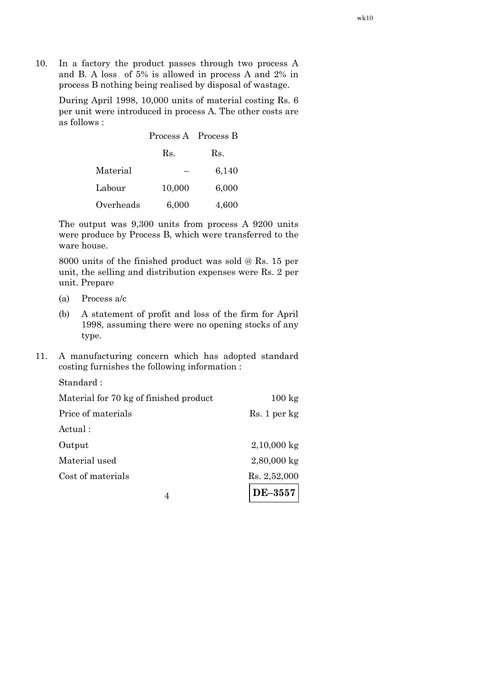10. In a factory the product passes through two process A and B. A loss of 5% is allowed in process A and 2% in process B nothing being realised by disposal of wastage.

 During April 1998, 10,000 units of material costing Rs. 6 per unit were introduced in process A. The other costs are as follows :

|           | Process A Process B |       |
|-----------|---------------------|-------|
|           | Rs.                 | Rs.   |
| Material  |                     | 6,140 |
| Labour    | 10,000              | 6,000 |
| Overheads | 6,000               | 4,600 |

 The output was 9,300 units from process A 9200 units were produce by Process B, which were transferred to the ware house.

 8000 units of the finished product was sold @ Rs. 15 per unit, the selling and distribution expenses were Rs. 2 per unit. Prepare

- (a) Process a/c
- (b) A statement of profit and loss of the firm for April 1998, assuming there were no opening stocks of any type.
- 11. A manufacturing concern which has adopted standard costing furnishes the following information :

| 4                                      | DE-3557          |
|----------------------------------------|------------------|
| Cost of materials                      | Rs. 2,52,000     |
| Material used                          | $2,80,000$ kg    |
| Output                                 | $2,10,000$ kg    |
| Actual:                                |                  |
| Price of materials                     | Rs. 1 per kg     |
| Material for 70 kg of finished product | $100 \text{ kg}$ |
| Standard:                              |                  |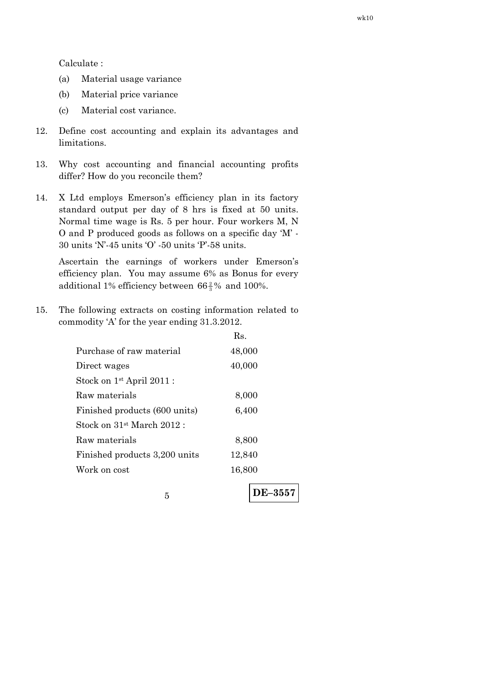Calculate :

- (a) Material usage variance
- (b) Material price variance
- (c) Material cost variance.
- 12. Define cost accounting and explain its advantages and limitations.
- 13. Why cost accounting and financial accounting profits differ? How do you reconcile them?
- 14. X Ltd employs Emerson's efficiency plan in its factory standard output per day of 8 hrs is fixed at 50 units. Normal time wage is Rs. 5 per hour. Four workers M, N O and P produced goods as follows on a specific day 'M' - 30 units 'N'-45 units 'O' -50 units 'P'-58 units.

 Ascertain the earnings of workers under Emerson's efficiency plan. You may assume 6% as Bonus for every additional 1% efficiency between  $66\frac{2}{3}\%$  and 100%.

15. The following extracts on costing information related to commodity 'A' for the year ending 31.3.2012.

|                                       | Rs.    |
|---------------------------------------|--------|
| Purchase of raw material              | 48,000 |
| Direct wages                          | 40,000 |
| Stock on 1 <sup>st</sup> April 2011 : |        |
| Raw materials                         | 8,000  |
| Finished products (600 units)         | 6,400  |
| Stock on $31st$ March $2012$ :        |        |
| Raw materials                         | 8,800  |
| Finished products 3,200 units         | 12,840 |
| Work on cost                          | 16,800 |
|                                       |        |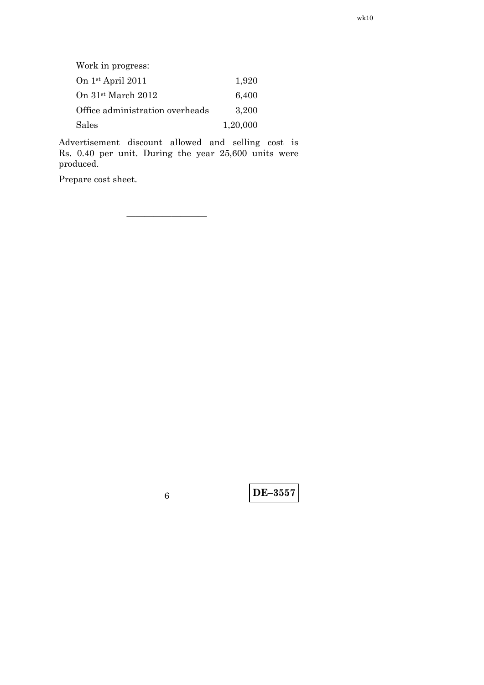| Work in progress:               |          |
|---------------------------------|----------|
| On $1st$ April 2011             | 1,920    |
| On 31 <sup>st</sup> March 2012  | 6,400    |
| Office administration overheads | 3,200    |
| Sales                           | 1,20,000 |

—————————

 Advertisement discount allowed and selling cost is Rs. 0.40 per unit. During the year 25,600 units were produced.

Prepare cost sheet.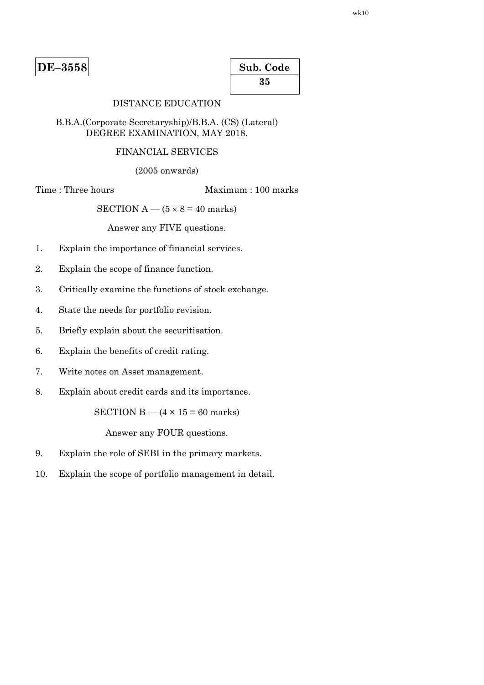| Sub. Code |  |  |  |
|-----------|--|--|--|
| 35        |  |  |  |

# DISTANCE EDUCATION

### B.B.A.(Corporate Secretaryship)/B.B.A. (CS) (Lateral) DEGREE EXAMINATION, MAY 2018.

# FINANCIAL SERVICES

(2005 onwards)

Time : Three hours Maximum : 100 marks

SECTION  $A - (5 \times 8 = 40$  marks)

Answer any FIVE questions.

- 1. Explain the importance of financial services.
- 2. Explain the scope of finance function.
- 3. Critically examine the functions of stock exchange.
- 4. State the needs for portfolio revision.
- 5. Briefly explain about the securitisation.
- 6. Explain the benefits of credit rating.
- 7. Write notes on Asset management.
- 8. Explain about credit cards and its importance.

SECTION B —  $(4 \times 15 = 60$  marks)

Answer any FOUR questions.

- 9. Explain the role of SEBI in the primary markets.
- 10. Explain the scope of portfolio management in detail.